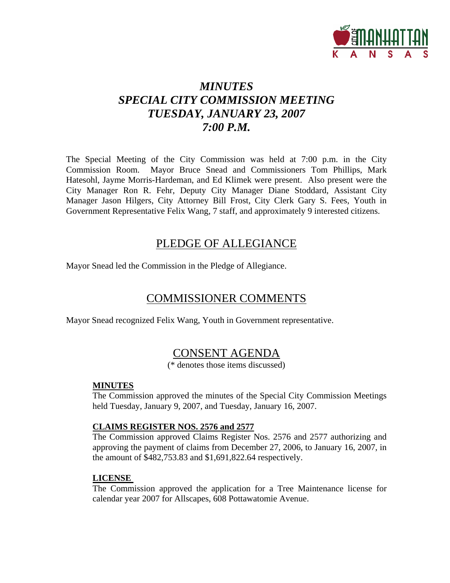

# *MINUTES SPECIAL CITY COMMISSION MEETING TUESDAY, JANUARY 23, 2007 7:00 P.M.*

The Special Meeting of the City Commission was held at 7:00 p.m. in the City Commission Room. Mayor Bruce Snead and Commissioners Tom Phillips, Mark Hatesohl, Jayme Morris-Hardeman, and Ed Klimek were present. Also present were the City Manager Ron R. Fehr, Deputy City Manager Diane Stoddard, Assistant City Manager Jason Hilgers, City Attorney Bill Frost, City Clerk Gary S. Fees, Youth in Government Representative Felix Wang, 7 staff, and approximately 9 interested citizens.

# PLEDGE OF ALLEGIANCE

Mayor Snead led the Commission in the Pledge of Allegiance.

# COMMISSIONER COMMENTS

Mayor Snead recognized Felix Wang, Youth in Government representative.

# CONSENT AGENDA

(\* denotes those items discussed)

# **MINUTES**

The Commission approved the minutes of the Special City Commission Meetings held Tuesday, January 9, 2007, and Tuesday, January 16, 2007.

# **CLAIMS REGISTER NOS. 2576 and 2577**

The Commission approved Claims Register Nos. 2576 and 2577 authorizing and approving the payment of claims from December 27, 2006, to January 16, 2007, in the amount of \$482,753.83 and \$1,691,822.64 respectively.

# **LICENSE**

The Commission approved the application for a Tree Maintenance license for calendar year 2007 for Allscapes, 608 Pottawatomie Avenue.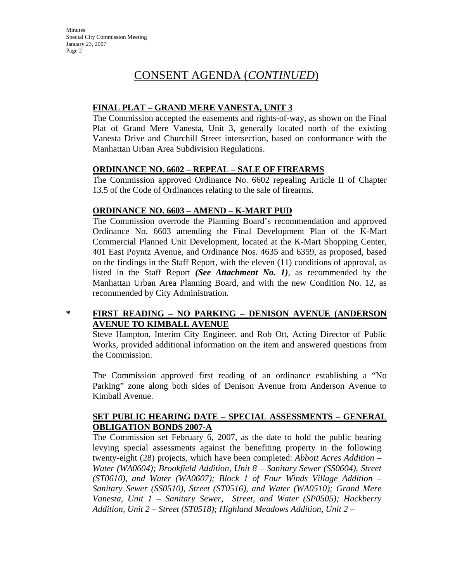# **FINAL PLAT – GRAND MERE VANESTA, UNIT 3**

The Commission accepted the easements and rights-of-way, as shown on the Final Plat of Grand Mere Vanesta, Unit 3, generally located north of the existing Vanesta Drive and Churchill Street intersection, based on conformance with the Manhattan Urban Area Subdivision Regulations.

# **ORDINANCE NO. 6602 – REPEAL – SALE OF FIREARMS**

The Commission approved Ordinance No. 6602 repealing Article II of Chapter 13.5 of the Code of Ordinances relating to the sale of firearms.

# **ORDINANCE NO. 6603 – AMEND – K-MART PUD**

The Commission overrode the Planning Board's recommendation and approved Ordinance No. 6603 amending the Final Development Plan of the K-Mart Commercial Planned Unit Development, located at the K-Mart Shopping Center, 401 East Poyntz Avenue, and Ordinance Nos. 4635 and 6359, as proposed, based on the findings in the Staff Report, with the eleven (11) conditions of approval, as listed in the Staff Report *(See Attachment No. 1)*, as recommended by the Manhattan Urban Area Planning Board, and with the new Condition No. 12, as recommended by City Administration.

# **\* FIRST READING – NO PARKING – DENISON AVENUE (ANDERSON AVENUE TO KIMBALL AVENUE**

Steve Hampton, Interim City Engineer, and Rob Ott, Acting Director of Public Works, provided additional information on the item and answered questions from the Commission.

The Commission approved first reading of an ordinance establishing a "No Parking" zone along both sides of Denison Avenue from Anderson Avenue to Kimball Avenue.

# **SET PUBLIC HEARING DATE – SPECIAL ASSESSMENTS – GENERAL OBLIGATION BONDS 2007-A**

The Commission set February 6, 2007, as the date to hold the public hearing levying special assessments against the benefiting property in the following twenty-eight (28) projects, which have been completed: *Abbott Acres Addition – Water (WA0604); Brookfield Addition, Unit 8 – Sanitary Sewer (SS0604), Street (ST0610), and Water (WA0607); Block 1 of Four Winds Village Addition – Sanitary Sewer (SS0510), Street (ST0516), and Water (WA0510); Grand Mere Vanesta, Unit 1 – Sanitary Sewer, Street, and Water (SP0505); Hackberry Addition, Unit 2 – Street (ST0518); Highland Meadows Addition, Unit 2 –*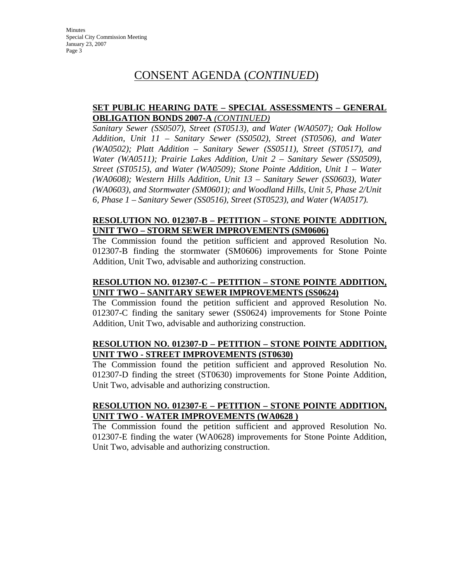# **SET PUBLIC HEARING DATE – SPECIAL ASSESSMENTS – GENERAL OBLIGATION BONDS 2007-A** *(CONTINUED)*

*Sanitary Sewer (SS0507), Street (ST0513), and Water (WA0507); Oak Hollow Addition, Unit 11 – Sanitary Sewer (SS0502), Street (ST0506), and Water (WA0502); Platt Addition – Sanitary Sewer (SS0511), Street (ST0517), and Water (WA0511); Prairie Lakes Addition, Unit 2 – Sanitary Sewer (SS0509), Street (ST0515), and Water (WA0509); Stone Pointe Addition, Unit 1 – Water (WA0608); Western Hills Addition, Unit 13 – Sanitary Sewer (SS0603), Water (WA0603), and Stormwater (SM0601); and Woodland Hills, Unit 5, Phase 2/Unit 6, Phase 1 – Sanitary Sewer (SS0516), Street (ST0523), and Water (WA0517).* 

## **RESOLUTION NO. 012307-B – PETITION – STONE POINTE ADDITION, UNIT TWO – STORM SEWER IMPROVEMENTS (SM0606)**

The Commission found the petition sufficient and approved Resolution No. 012307-B finding the stormwater (SM0606) improvements for Stone Pointe Addition, Unit Two, advisable and authorizing construction.

# **RESOLUTION NO. 012307-C – PETITION – STONE POINTE ADDITION, UNIT TWO – SANITARY SEWER IMPROVEMENTS (SS0624)**

The Commission found the petition sufficient and approved Resolution No. 012307-C finding the sanitary sewer (SS0624) improvements for Stone Pointe Addition, Unit Two, advisable and authorizing construction.

# **RESOLUTION NO. 012307-D – PETITION – STONE POINTE ADDITION, UNIT TWO - STREET IMPROVEMENTS (ST0630)**

The Commission found the petition sufficient and approved Resolution No. 012307-D finding the street (ST0630) improvements for Stone Pointe Addition, Unit Two, advisable and authorizing construction.

# **RESOLUTION NO. 012307-E – PETITION – STONE POINTE ADDITION, UNIT TWO - WATER IMPROVEMENTS (WA0628 )**

The Commission found the petition sufficient and approved Resolution No. 012307-E finding the water (WA0628) improvements for Stone Pointe Addition, Unit Two, advisable and authorizing construction.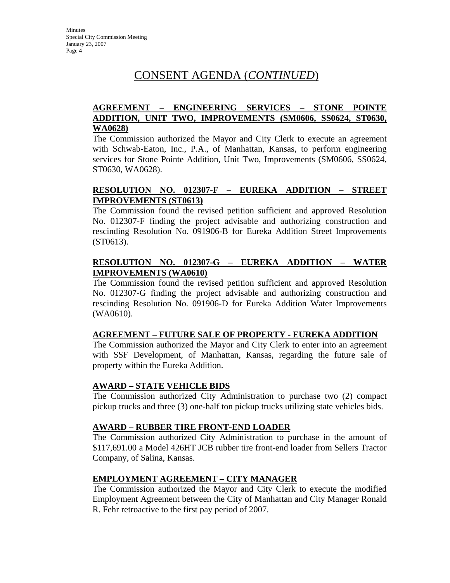# **AGREEMENT – ENGINEERING SERVICES – STONE POINTE ADDITION, UNIT TWO, IMPROVEMENTS (SM0606, SS0624, ST0630, WA0628)**

The Commission authorized the Mayor and City Clerk to execute an agreement with Schwab-Eaton, Inc., P.A., of Manhattan, Kansas, to perform engineering services for Stone Pointe Addition, Unit Two, Improvements (SM0606, SS0624, ST0630, WA0628).

# **RESOLUTION NO. 012307-F – EUREKA ADDITION – STREET IMPROVEMENTS (ST0613)**

The Commission found the revised petition sufficient and approved Resolution No. 012307-F finding the project advisable and authorizing construction and rescinding Resolution No. 091906-B for Eureka Addition Street Improvements (ST0613).

# **RESOLUTION NO. 012307-G – EUREKA ADDITION – WATER IMPROVEMENTS (WA0610)**

The Commission found the revised petition sufficient and approved Resolution No. 012307-G finding the project advisable and authorizing construction and rescinding Resolution No. 091906-D for Eureka Addition Water Improvements (WA0610).

# **AGREEMENT – FUTURE SALE OF PROPERTY - EUREKA ADDITION**

The Commission authorized the Mayor and City Clerk to enter into an agreement with SSF Development, of Manhattan, Kansas, regarding the future sale of property within the Eureka Addition.

# **AWARD – STATE VEHICLE BIDS**

The Commission authorized City Administration to purchase two (2) compact pickup trucks and three (3) one-half ton pickup trucks utilizing state vehicles bids.

# **AWARD – RUBBER TIRE FRONT-END LOADER**

The Commission authorized City Administration to purchase in the amount of \$117,691.00 a Model 426HT JCB rubber tire front-end loader from Sellers Tractor Company, of Salina, Kansas.

# **EMPLOYMENT AGREEMENT – CITY MANAGER**

The Commission authorized the Mayor and City Clerk to execute the modified Employment Agreement between the City of Manhattan and City Manager Ronald R. Fehr retroactive to the first pay period of 2007.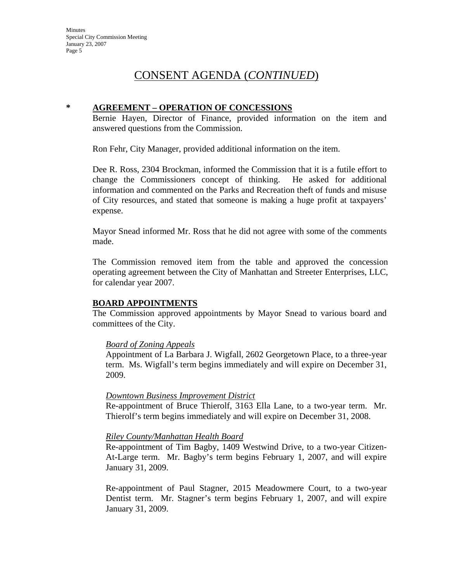#### **\* AGREEMENT – OPERATION OF CONCESSIONS**

Bernie Hayen, Director of Finance, provided information on the item and answered questions from the Commission.

Ron Fehr, City Manager, provided additional information on the item.

Dee R. Ross, 2304 Brockman, informed the Commission that it is a futile effort to change the Commissioners concept of thinking. He asked for additional information and commented on the Parks and Recreation theft of funds and misuse of City resources, and stated that someone is making a huge profit at taxpayers' expense.

Mayor Snead informed Mr. Ross that he did not agree with some of the comments made.

The Commission removed item from the table and approved the concession operating agreement between the City of Manhattan and Streeter Enterprises, LLC, for calendar year 2007.

#### **BOARD APPOINTMENTS**

The Commission approved appointments by Mayor Snead to various board and committees of the City.

#### *Board of Zoning Appeals*

Appointment of La Barbara J. Wigfall, 2602 Georgetown Place, to a three-year term. Ms. Wigfall's term begins immediately and will expire on December 31, 2009.

#### *Downtown Business Improvement District*

Re-appointment of Bruce Thierolf, 3163 Ella Lane, to a two-year term. Mr. Thierolf's term begins immediately and will expire on December 31, 2008.

#### *Riley County/Manhattan Health Board*

Re-appointment of Tim Bagby, 1409 Westwind Drive, to a two-year Citizen-At-Large term. Mr. Bagby's term begins February 1, 2007, and will expire January 31, 2009.

Re-appointment of Paul Stagner, 2015 Meadowmere Court, to a two-year Dentist term. Mr. Stagner's term begins February 1, 2007, and will expire January 31, 2009.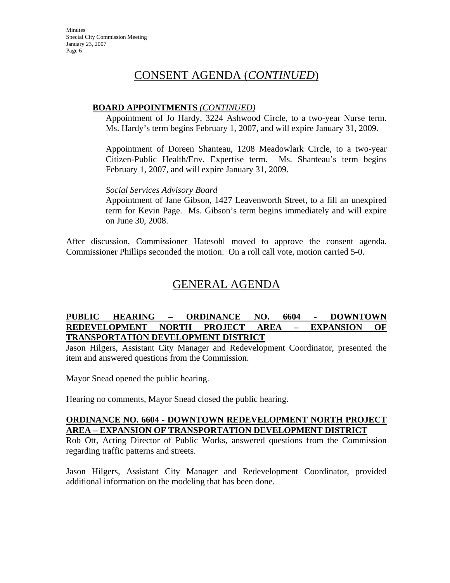# CONSENT AGENDA (*CONTINUED*)

## **BOARD APPOINTMENTS** *(CONTINUED)*

Appointment of Jo Hardy, 3224 Ashwood Circle, to a two-year Nurse term. Ms. Hardy's term begins February 1, 2007, and will expire January 31, 2009.

Appointment of Doreen Shanteau, 1208 Meadowlark Circle, to a two-year Citizen-Public Health/Env. Expertise term. Ms. Shanteau's term begins February 1, 2007, and will expire January 31, 2009.

#### *Social Services Advisory Board*

Appointment of Jane Gibson, 1427 Leavenworth Street, to a fill an unexpired term for Kevin Page. Ms. Gibson's term begins immediately and will expire on June 30, 2008.

After discussion, Commissioner Hatesohl moved to approve the consent agenda. Commissioner Phillips seconded the motion. On a roll call vote, motion carried 5-0.

# GENERAL AGENDA

#### **PUBLIC HEARING – ORDINANCE NO. 6604 - DOWNTOWN REDEVELOPMENT NORTH PROJECT AREA – EXPANSION OF TRANSPORTATION DEVELOPMENT DISTRICT**

Jason Hilgers, Assistant City Manager and Redevelopment Coordinator, presented the item and answered questions from the Commission.

Mayor Snead opened the public hearing.

Hearing no comments, Mayor Snead closed the public hearing.

# **ORDINANCE NO. 6604 - DOWNTOWN REDEVELOPMENT NORTH PROJECT AREA – EXPANSION OF TRANSPORTATION DEVELOPMENT DISTRICT**

Rob Ott, Acting Director of Public Works, answered questions from the Commission regarding traffic patterns and streets.

Jason Hilgers, Assistant City Manager and Redevelopment Coordinator, provided additional information on the modeling that has been done.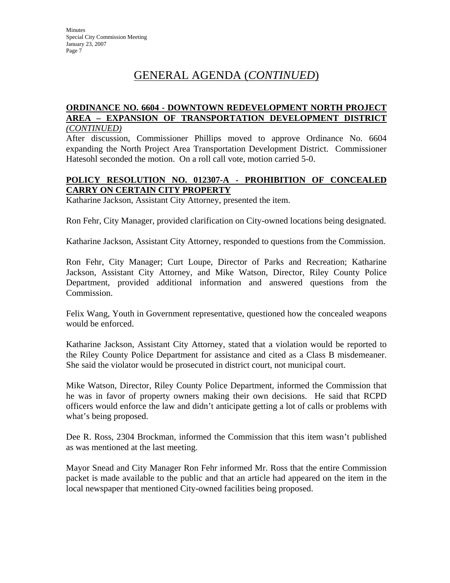# GENERAL AGENDA (*CONTINUED*)

# **ORDINANCE NO. 6604 - DOWNTOWN REDEVELOPMENT NORTH PROJECT AREA – EXPANSION OF TRANSPORTATION DEVELOPMENT DISTRICT**

#### *(CONTINUED)*

After discussion, Commissioner Phillips moved to approve Ordinance No. 6604 expanding the North Project Area Transportation Development District. Commissioner Hatesohl seconded the motion. On a roll call vote, motion carried 5-0.

# **POLICY RESOLUTION NO. 012307-A - PROHIBITION OF CONCEALED CARRY ON CERTAIN CITY PROPERTY**

Katharine Jackson, Assistant City Attorney, presented the item.

Ron Fehr, City Manager, provided clarification on City-owned locations being designated.

Katharine Jackson, Assistant City Attorney, responded to questions from the Commission.

Ron Fehr, City Manager; Curt Loupe, Director of Parks and Recreation; Katharine Jackson, Assistant City Attorney, and Mike Watson, Director, Riley County Police Department, provided additional information and answered questions from the Commission.

Felix Wang, Youth in Government representative, questioned how the concealed weapons would be enforced.

Katharine Jackson, Assistant City Attorney, stated that a violation would be reported to the Riley County Police Department for assistance and cited as a Class B misdemeaner. She said the violator would be prosecuted in district court, not municipal court.

Mike Watson, Director, Riley County Police Department, informed the Commission that he was in favor of property owners making their own decisions. He said that RCPD officers would enforce the law and didn't anticipate getting a lot of calls or problems with what's being proposed.

Dee R. Ross, 2304 Brockman, informed the Commission that this item wasn't published as was mentioned at the last meeting.

Mayor Snead and City Manager Ron Fehr informed Mr. Ross that the entire Commission packet is made available to the public and that an article had appeared on the item in the local newspaper that mentioned City-owned facilities being proposed.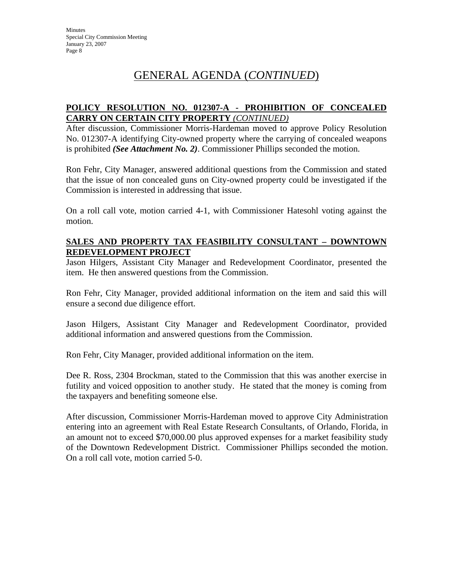# GENERAL AGENDA (*CONTINUED*)

# **POLICY RESOLUTION NO. 012307-A - PROHIBITION OF CONCEALED CARRY ON CERTAIN CITY PROPERTY** *(CONTINUED)*

After discussion, Commissioner Morris-Hardeman moved to approve Policy Resolution No. 012307-A identifying City-owned property where the carrying of concealed weapons is prohibited *(See Attachment No. 2)*. Commissioner Phillips seconded the motion.

Ron Fehr, City Manager, answered additional questions from the Commission and stated that the issue of non concealed guns on City-owned property could be investigated if the Commission is interested in addressing that issue.

On a roll call vote, motion carried 4-1, with Commissioner Hatesohl voting against the motion.

## **SALES AND PROPERTY TAX FEASIBILITY CONSULTANT – DOWNTOWN REDEVELOPMENT PROJECT**

Jason Hilgers, Assistant City Manager and Redevelopment Coordinator, presented the item. He then answered questions from the Commission.

Ron Fehr, City Manager, provided additional information on the item and said this will ensure a second due diligence effort.

Jason Hilgers, Assistant City Manager and Redevelopment Coordinator, provided additional information and answered questions from the Commission.

Ron Fehr, City Manager, provided additional information on the item.

Dee R. Ross, 2304 Brockman, stated to the Commission that this was another exercise in futility and voiced opposition to another study. He stated that the money is coming from the taxpayers and benefiting someone else.

After discussion, Commissioner Morris-Hardeman moved to approve City Administration entering into an agreement with Real Estate Research Consultants, of Orlando, Florida, in an amount not to exceed \$70,000.00 plus approved expenses for a market feasibility study of the Downtown Redevelopment District. Commissioner Phillips seconded the motion. On a roll call vote, motion carried 5-0.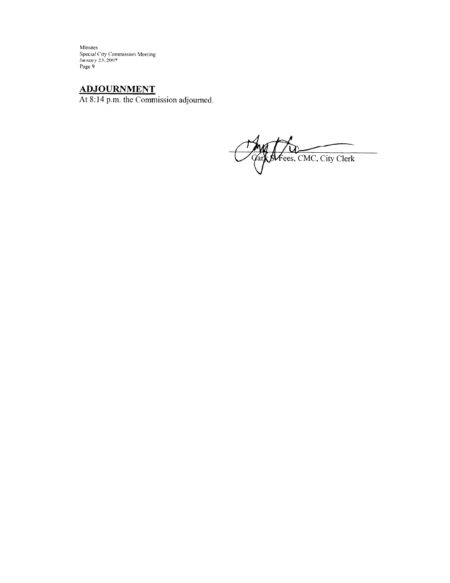Minutes<br>Special City Commission Meeting<br>January 23, 2007<br>Page 9

 $ADJOURNMENT$ <br>At 8:14 p.m. the Commission adjourned.

Afees, CMC, City Clerk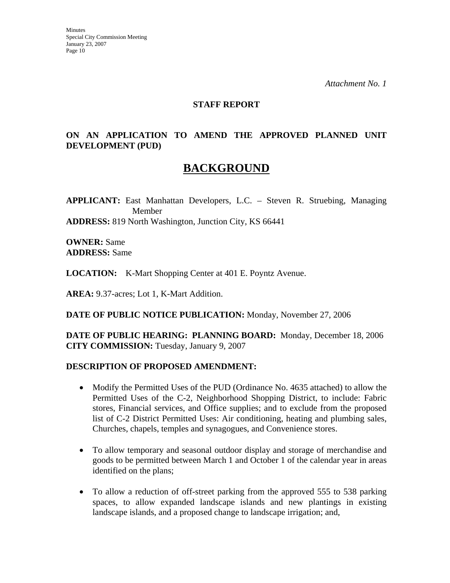#### **STAFF REPORT**

# **ON AN APPLICATION TO AMEND THE APPROVED PLANNED UNIT DEVELOPMENT (PUD)**

# **BACKGROUND**

**APPLICANT:** East Manhattan Developers, L.C. – Steven R. Struebing, Managing Member **ADDRESS:** 819 North Washington, Junction City, KS 66441

**OWNER:** Same **ADDRESS:** Same

**LOCATION:** K-Mart Shopping Center at 401 E. Poyntz Avenue.

**AREA:** 9.37-acres; Lot 1, K-Mart Addition.

**DATE OF PUBLIC NOTICE PUBLICATION:** Monday, November 27, 2006

**DATE OF PUBLIC HEARING: PLANNING BOARD:** Monday, December 18, 2006 **CITY COMMISSION:** Tuesday, January 9, 2007

# **DESCRIPTION OF PROPOSED AMENDMENT:**

- Modify the Permitted Uses of the PUD (Ordinance No. 4635 attached) to allow the Permitted Uses of the C-2, Neighborhood Shopping District, to include: Fabric stores, Financial services, and Office supplies; and to exclude from the proposed list of C-2 District Permitted Uses: Air conditioning, heating and plumbing sales, Churches, chapels, temples and synagogues, and Convenience stores.
- To allow temporary and seasonal outdoor display and storage of merchandise and goods to be permitted between March 1 and October 1 of the calendar year in areas identified on the plans;
- To allow a reduction of off-street parking from the approved 555 to 538 parking spaces, to allow expanded landscape islands and new plantings in existing landscape islands, and a proposed change to landscape irrigation; and,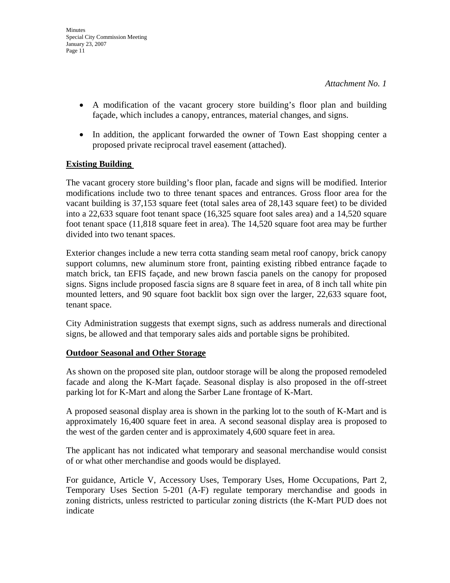- A modification of the vacant grocery store building's floor plan and building façade, which includes a canopy, entrances, material changes, and signs.
- In addition, the applicant forwarded the owner of Town East shopping center a proposed private reciprocal travel easement (attached).

# **Existing Building**

The vacant grocery store building's floor plan, facade and signs will be modified. Interior modifications include two to three tenant spaces and entrances. Gross floor area for the vacant building is 37,153 square feet (total sales area of 28,143 square feet) to be divided into a 22,633 square foot tenant space (16,325 square foot sales area) and a 14,520 square foot tenant space (11,818 square feet in area). The 14,520 square foot area may be further divided into two tenant spaces.

Exterior changes include a new terra cotta standing seam metal roof canopy, brick canopy support columns, new aluminum store front, painting existing ribbed entrance façade to match brick, tan EFIS façade, and new brown fascia panels on the canopy for proposed signs. Signs include proposed fascia signs are 8 square feet in area, of 8 inch tall white pin mounted letters, and 90 square foot backlit box sign over the larger, 22,633 square foot, tenant space.

City Administration suggests that exempt signs, such as address numerals and directional signs, be allowed and that temporary sales aids and portable signs be prohibited.

# **Outdoor Seasonal and Other Storage**

As shown on the proposed site plan, outdoor storage will be along the proposed remodeled facade and along the K-Mart façade. Seasonal display is also proposed in the off-street parking lot for K-Mart and along the Sarber Lane frontage of K-Mart.

A proposed seasonal display area is shown in the parking lot to the south of K-Mart and is approximately 16,400 square feet in area. A second seasonal display area is proposed to the west of the garden center and is approximately 4,600 square feet in area.

The applicant has not indicated what temporary and seasonal merchandise would consist of or what other merchandise and goods would be displayed.

For guidance, Article V, Accessory Uses, Temporary Uses, Home Occupations, Part 2, Temporary Uses Section 5-201 (A-F) regulate temporary merchandise and goods in zoning districts, unless restricted to particular zoning districts (the K-Mart PUD does not indicate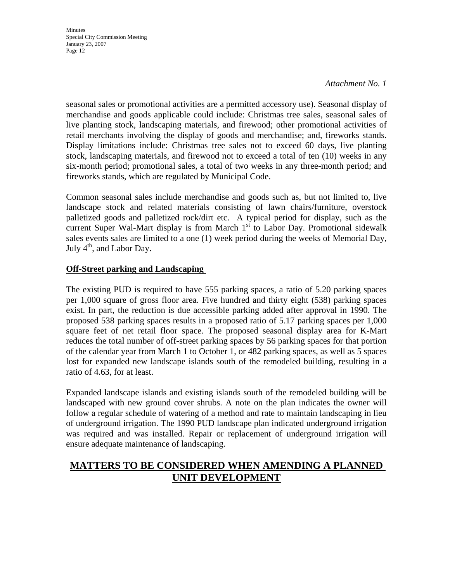#### *Attachment No. 1*

seasonal sales or promotional activities are a permitted accessory use). Seasonal display of merchandise and goods applicable could include: Christmas tree sales, seasonal sales of live planting stock, landscaping materials, and firewood; other promotional activities of retail merchants involving the display of goods and merchandise; and, fireworks stands. Display limitations include: Christmas tree sales not to exceed 60 days, live planting stock, landscaping materials, and firewood not to exceed a total of ten (10) weeks in any six-month period; promotional sales, a total of two weeks in any three-month period; and fireworks stands, which are regulated by Municipal Code.

Common seasonal sales include merchandise and goods such as, but not limited to, live landscape stock and related materials consisting of lawn chairs/furniture, overstock palletized goods and palletized rock/dirt etc. A typical period for display, such as the current Super Wal-Mart display is from March  $1<sup>st</sup>$  to Labor Day. Promotional sidewalk sales events sales are limited to a one (1) week period during the weeks of Memorial Day, July  $4<sup>th</sup>$ , and Labor Day.

# **Off-Street parking and Landscaping**

The existing PUD is required to have 555 parking spaces, a ratio of 5.20 parking spaces per 1,000 square of gross floor area. Five hundred and thirty eight (538) parking spaces exist. In part, the reduction is due accessible parking added after approval in 1990. The proposed 538 parking spaces results in a proposed ratio of 5.17 parking spaces per 1,000 square feet of net retail floor space. The proposed seasonal display area for K-Mart reduces the total number of off-street parking spaces by 56 parking spaces for that portion of the calendar year from March 1 to October 1, or 482 parking spaces, as well as 5 spaces lost for expanded new landscape islands south of the remodeled building, resulting in a ratio of 4.63, for at least.

Expanded landscape islands and existing islands south of the remodeled building will be landscaped with new ground cover shrubs. A note on the plan indicates the owner will follow a regular schedule of watering of a method and rate to maintain landscaping in lieu of underground irrigation. The 1990 PUD landscape plan indicated underground irrigation was required and was installed. Repair or replacement of underground irrigation will ensure adequate maintenance of landscaping.

# **MATTERS TO BE CONSIDERED WHEN AMENDING A PLANNED UNIT DEVELOPMENT**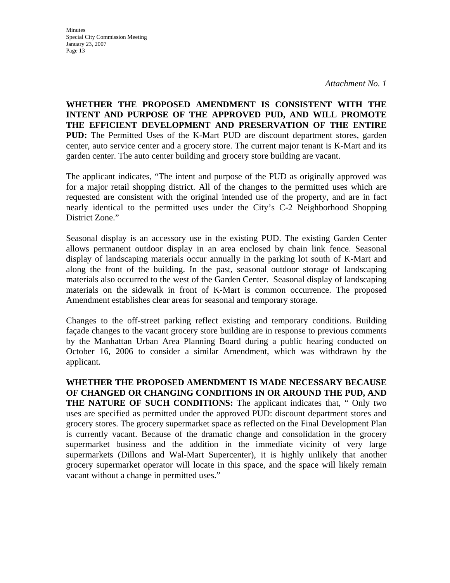*Attachment No. 1* 

**WHETHER THE PROPOSED AMENDMENT IS CONSISTENT WITH THE INTENT AND PURPOSE OF THE APPROVED PUD, AND WILL PROMOTE THE EFFICIENT DEVELOPMENT AND PRESERVATION OF THE ENTIRE PUD:** The Permitted Uses of the K-Mart PUD are discount department stores, garden center, auto service center and a grocery store. The current major tenant is K-Mart and its garden center. The auto center building and grocery store building are vacant.

The applicant indicates, "The intent and purpose of the PUD as originally approved was for a major retail shopping district. All of the changes to the permitted uses which are requested are consistent with the original intended use of the property, and are in fact nearly identical to the permitted uses under the City's C-2 Neighborhood Shopping District Zone."

Seasonal display is an accessory use in the existing PUD. The existing Garden Center allows permanent outdoor display in an area enclosed by chain link fence. Seasonal display of landscaping materials occur annually in the parking lot south of K-Mart and along the front of the building. In the past, seasonal outdoor storage of landscaping materials also occurred to the west of the Garden Center. Seasonal display of landscaping materials on the sidewalk in front of K-Mart is common occurrence. The proposed Amendment establishes clear areas for seasonal and temporary storage.

Changes to the off-street parking reflect existing and temporary conditions. Building façade changes to the vacant grocery store building are in response to previous comments by the Manhattan Urban Area Planning Board during a public hearing conducted on October 16, 2006 to consider a similar Amendment, which was withdrawn by the applicant.

**WHETHER THE PROPOSED AMENDMENT IS MADE NECESSARY BECAUSE OF CHANGED OR CHANGING CONDITIONS IN OR AROUND THE PUD, AND THE NATURE OF SUCH CONDITIONS:** The applicant indicates that, " Only two uses are specified as permitted under the approved PUD: discount department stores and grocery stores. The grocery supermarket space as reflected on the Final Development Plan is currently vacant. Because of the dramatic change and consolidation in the grocery supermarket business and the addition in the immediate vicinity of very large supermarkets (Dillons and Wal-Mart Supercenter), it is highly unlikely that another grocery supermarket operator will locate in this space, and the space will likely remain vacant without a change in permitted uses."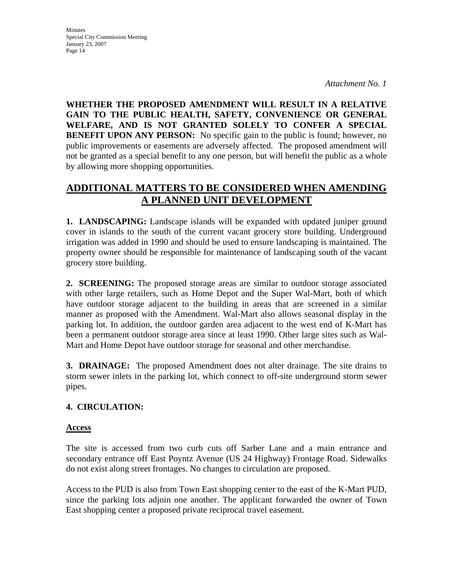*Attachment No. 1* 

**WHETHER THE PROPOSED AMENDMENT WILL RESULT IN A RELATIVE GAIN TO THE PUBLIC HEALTH, SAFETY, CONVENIENCE OR GENERAL WELFARE, AND IS NOT GRANTED SOLELY TO CONFER A SPECIAL BENEFIT UPON ANY PERSON:** No specific gain to the public is found; however, no public improvements or easements are adversely affected. The proposed amendment will not be granted as a special benefit to any one person, but will benefit the public as a whole by allowing more shopping opportunities.

# **ADDITIONAL MATTERS TO BE CONSIDERED WHEN AMENDING A PLANNED UNIT DEVELOPMENT**

**1. LANDSCAPING:** Landscape islands will be expanded with updated juniper ground cover in islands to the south of the current vacant grocery store building. Underground irrigation was added in 1990 and should be used to ensure landscaping is maintained. The property owner should be responsible for maintenance of landscaping south of the vacant grocery store building.

**2. SCREENING:** The proposed storage areas are similar to outdoor storage associated with other large retailers, such as Home Depot and the Super Wal-Mart, both of which have outdoor storage adjacent to the building in areas that are screened in a similar manner as proposed with the Amendment. Wal-Mart also allows seasonal display in the parking lot. In addition, the outdoor garden area adjacent to the west end of K-Mart has been a permanent outdoor storage area since at least 1990. Other large sites such as Wal-Mart and Home Depot have outdoor storage for seasonal and other merchandise.

**3. DRAINAGE:** The proposed Amendment does not alter drainage. The site drains to storm sewer inlets in the parking lot, which connect to off-site underground storm sewer pipes.

# **4. CIRCULATION:**

# **Access**

The site is accessed from two curb cuts off Sarber Lane and a main entrance and secondary entrance off East Poyntz Avenue (US 24 Highway) Frontage Road. Sidewalks do not exist along street frontages. No changes to circulation are proposed.

Access to the PUD is also from Town East shopping center to the east of the K-Mart PUD, since the parking lots adjoin one another. The applicant forwarded the owner of Town East shopping center a proposed private reciprocal travel easement.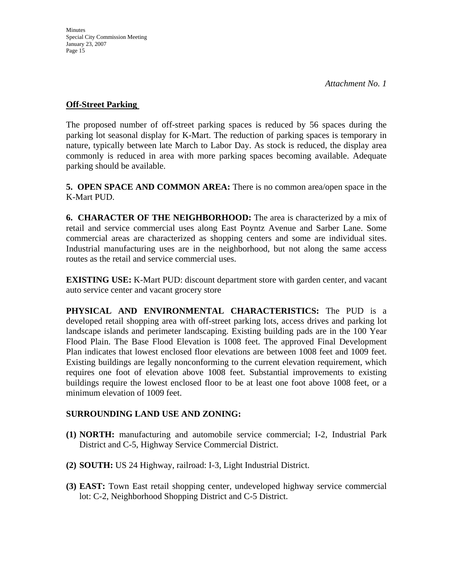## **Off-Street Parking**

The proposed number of off-street parking spaces is reduced by 56 spaces during the parking lot seasonal display for K-Mart. The reduction of parking spaces is temporary in nature, typically between late March to Labor Day. As stock is reduced, the display area commonly is reduced in area with more parking spaces becoming available. Adequate parking should be available.

**5. OPEN SPACE AND COMMON AREA:** There is no common area/open space in the K-Mart PUD.

**6. CHARACTER OF THE NEIGHBORHOOD:** The area is characterized by a mix of retail and service commercial uses along East Poyntz Avenue and Sarber Lane. Some commercial areas are characterized as shopping centers and some are individual sites. Industrial manufacturing uses are in the neighborhood, but not along the same access routes as the retail and service commercial uses.

**EXISTING USE:** K-Mart PUD: discount department store with garden center, and vacant auto service center and vacant grocery store

**PHYSICAL AND ENVIRONMENTAL CHARACTERISTICS:** The PUD is a developed retail shopping area with off-street parking lots, access drives and parking lot landscape islands and perimeter landscaping. Existing building pads are in the 100 Year Flood Plain. The Base Flood Elevation is 1008 feet. The approved Final Development Plan indicates that lowest enclosed floor elevations are between 1008 feet and 1009 feet. Existing buildings are legally nonconforming to the current elevation requirement, which requires one foot of elevation above 1008 feet. Substantial improvements to existing buildings require the lowest enclosed floor to be at least one foot above 1008 feet, or a minimum elevation of 1009 feet.

# **SURROUNDING LAND USE AND ZONING:**

- **(1) NORTH:** manufacturing and automobile service commercial; I-2, Industrial Park District and C-5, Highway Service Commercial District.
- **(2) SOUTH:** US 24 Highway, railroad: I-3, Light Industrial District.
- **(3) EAST:** Town East retail shopping center, undeveloped highway service commercial lot: C-2, Neighborhood Shopping District and C-5 District.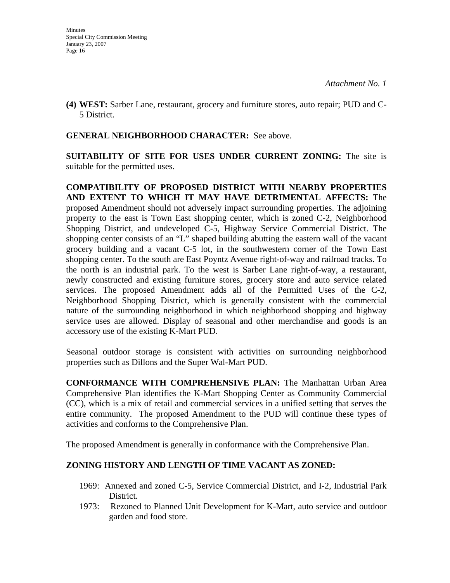**(4) WEST:** Sarber Lane, restaurant, grocery and furniture stores, auto repair; PUD and C-5 District.

# **GENERAL NEIGHBORHOOD CHARACTER:** See above.

**SUITABILITY OF SITE FOR USES UNDER CURRENT ZONING:** The site is suitable for the permitted uses.

**COMPATIBILITY OF PROPOSED DISTRICT WITH NEARBY PROPERTIES AND EXTENT TO WHICH IT MAY HAVE DETRIMENTAL AFFECTS:** The proposed Amendment should not adversely impact surrounding properties. The adjoining property to the east is Town East shopping center, which is zoned C-2, Neighborhood Shopping District, and undeveloped C-5, Highway Service Commercial District. The shopping center consists of an "L" shaped building abutting the eastern wall of the vacant grocery building and a vacant C-5 lot, in the southwestern corner of the Town East shopping center. To the south are East Poyntz Avenue right-of-way and railroad tracks. To the north is an industrial park. To the west is Sarber Lane right-of-way, a restaurant, newly constructed and existing furniture stores, grocery store and auto service related services. The proposed Amendment adds all of the Permitted Uses of the C-2, Neighborhood Shopping District, which is generally consistent with the commercial nature of the surrounding neighborhood in which neighborhood shopping and highway service uses are allowed. Display of seasonal and other merchandise and goods is an accessory use of the existing K-Mart PUD.

Seasonal outdoor storage is consistent with activities on surrounding neighborhood properties such as Dillons and the Super Wal-Mart PUD.

**CONFORMANCE WITH COMPREHENSIVE PLAN:** The Manhattan Urban Area Comprehensive Plan identifies the K-Mart Shopping Center as Community Commercial (CC), which is a mix of retail and commercial services in a unified setting that serves the entire community. The proposed Amendment to the PUD will continue these types of activities and conforms to the Comprehensive Plan.

The proposed Amendment is generally in conformance with the Comprehensive Plan.

# **ZONING HISTORY AND LENGTH OF TIME VACANT AS ZONED:**

- 1969: Annexed and zoned C-5, Service Commercial District, and I-2, Industrial Park District.
- 1973: Rezoned to Planned Unit Development for K-Mart, auto service and outdoor garden and food store.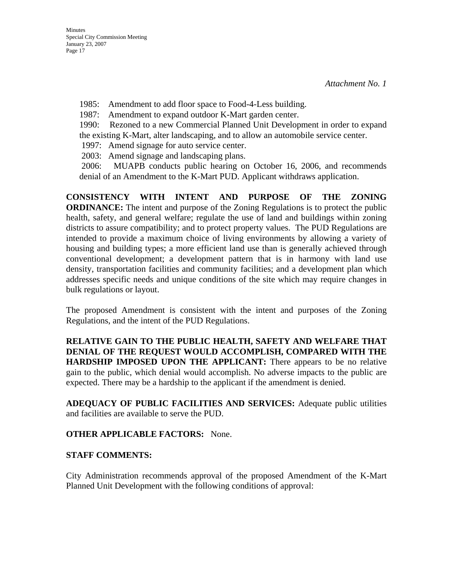1985: Amendment to add floor space to Food-4-Less building.

1987: Amendment to expand outdoor K-Mart garden center.

1990: Rezoned to a new Commercial Planned Unit Development in order to expand the existing K-Mart, alter landscaping, and to allow an automobile service center.

1997: Amend signage for auto service center.

2003: Amend signage and landscaping plans.

 2006: MUAPB conducts public hearing on October 16, 2006, and recommends denial of an Amendment to the K-Mart PUD. Applicant withdraws application.

**CONSISTENCY WITH INTENT AND PURPOSE OF THE ZONING ORDINANCE:** The intent and purpose of the Zoning Regulations is to protect the public health, safety, and general welfare; regulate the use of land and buildings within zoning districts to assure compatibility; and to protect property values. The PUD Regulations are intended to provide a maximum choice of living environments by allowing a variety of housing and building types; a more efficient land use than is generally achieved through conventional development; a development pattern that is in harmony with land use density, transportation facilities and community facilities; and a development plan which addresses specific needs and unique conditions of the site which may require changes in bulk regulations or layout.

The proposed Amendment is consistent with the intent and purposes of the Zoning Regulations, and the intent of the PUD Regulations.

**RELATIVE GAIN TO THE PUBLIC HEALTH, SAFETY AND WELFARE THAT DENIAL OF THE REQUEST WOULD ACCOMPLISH, COMPARED WITH THE HARDSHIP IMPOSED UPON THE APPLICANT:** There appears to be no relative gain to the public, which denial would accomplish. No adverse impacts to the public are expected. There may be a hardship to the applicant if the amendment is denied.

**ADEQUACY OF PUBLIC FACILITIES AND SERVICES:** Adequate public utilities and facilities are available to serve the PUD.

# **OTHER APPLICABLE FACTORS:** None.

# **STAFF COMMENTS:**

City Administration recommends approval of the proposed Amendment of the K-Mart Planned Unit Development with the following conditions of approval: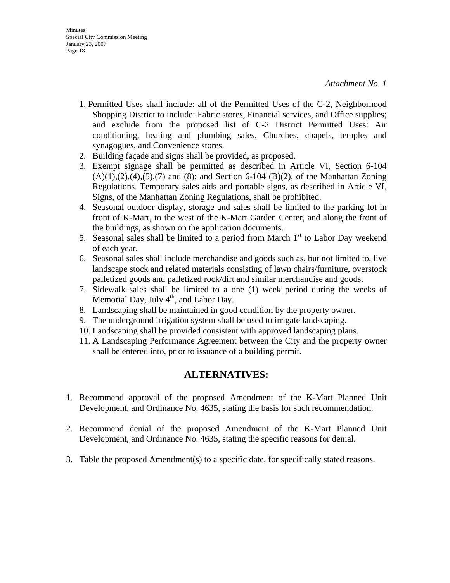- 1. Permitted Uses shall include: all of the Permitted Uses of the C-2, Neighborhood Shopping District to include: Fabric stores, Financial services, and Office supplies; and exclude from the proposed list of C-2 District Permitted Uses: Air conditioning, heating and plumbing sales, Churches, chapels, temples and synagogues, and Convenience stores.
- 2. Building façade and signs shall be provided, as proposed.
- 3. Exempt signage shall be permitted as described in Article VI, Section 6-104  $(A)(1), (2), (4), (5), (7)$  and (8); and Section 6-104 (B)(2), of the Manhattan Zoning Regulations. Temporary sales aids and portable signs, as described in Article VI, Signs, of the Manhattan Zoning Regulations, shall be prohibited.
- 4. Seasonal outdoor display, storage and sales shall be limited to the parking lot in front of K-Mart, to the west of the K-Mart Garden Center, and along the front of the buildings, as shown on the application documents.
- 5. Seasonal sales shall be limited to a period from March  $1<sup>st</sup>$  to Labor Day weekend of each year.
- 6. Seasonal sales shall include merchandise and goods such as, but not limited to, live landscape stock and related materials consisting of lawn chairs/furniture, overstock palletized goods and palletized rock/dirt and similar merchandise and goods.
- 7. Sidewalk sales shall be limited to a one (1) week period during the weeks of Memorial Day, July  $4<sup>th</sup>$ , and Labor Day.
- 8. Landscaping shall be maintained in good condition by the property owner.
- 9. The underground irrigation system shall be used to irrigate landscaping.
- 10. Landscaping shall be provided consistent with approved landscaping plans.
- 11. A Landscaping Performance Agreement between the City and the property owner shall be entered into, prior to issuance of a building permit.

# **ALTERNATIVES:**

- 1. Recommend approval of the proposed Amendment of the K-Mart Planned Unit Development, and Ordinance No. 4635, stating the basis for such recommendation.
- 2. Recommend denial of the proposed Amendment of the K-Mart Planned Unit Development, and Ordinance No. 4635, stating the specific reasons for denial.
- 3. Table the proposed Amendment(s) to a specific date, for specifically stated reasons.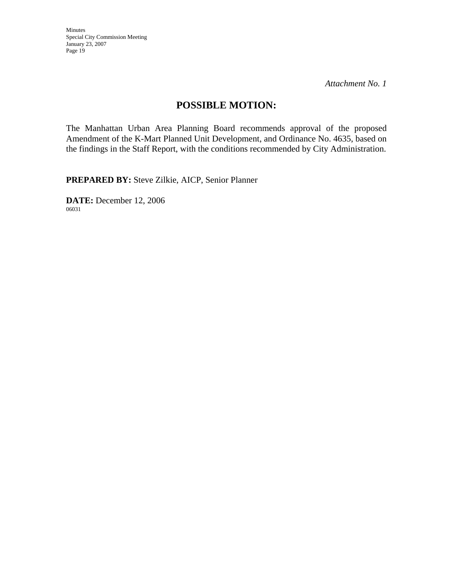*Attachment No. 1* 

# **POSSIBLE MOTION:**

The Manhattan Urban Area Planning Board recommends approval of the proposed Amendment of the K-Mart Planned Unit Development, and Ordinance No. 4635, based on the findings in the Staff Report, with the conditions recommended by City Administration.

**PREPARED BY:** Steve Zilkie, AICP, Senior Planner

**DATE:** December 12, 2006 06031